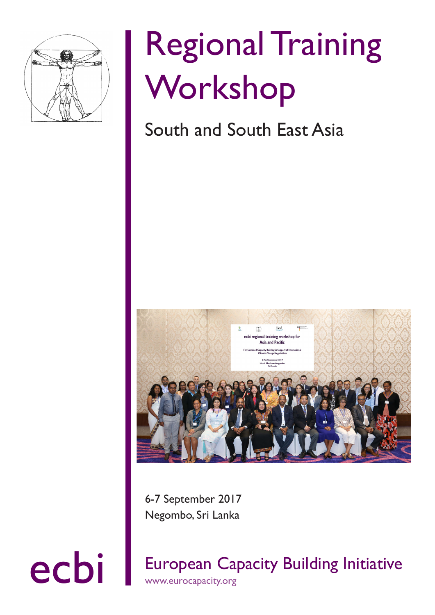

# Regional Training Workshop

### South and South East Asia



6-7 September 2017 Negombo, Sri Lanka

ecbi European Capacity Building Initiative www.eurocapacity.org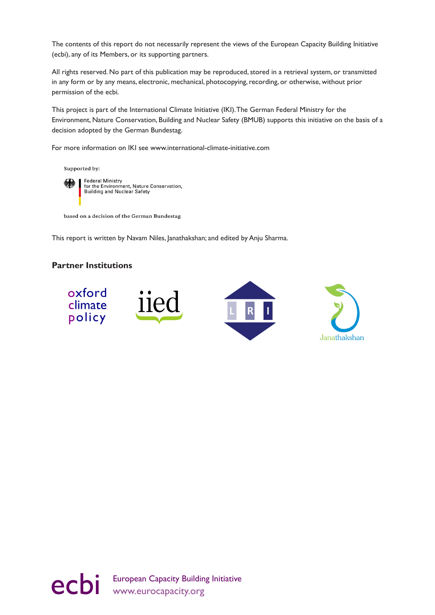The contents of this report do not necessarily represent the views of the European Capacity Building Initiative (ecbi), any of its Members, or its supporting partners.

All rights reserved. No part of this publication may be reproduced, stored in a retrieval system, or transmitted in any form or by any means, electronic, mechanical, photocopying, recording, or otherwise, without prior permission of the ecbi.

This project is part of the International Climate Initiative (IKI). The German Federal Ministry for the Environment, Nature Conservation, Building and Nuclear Safety (BMUB) supports this initiative on the basis of a decision adopted by the German Bundestag.

For more information on IKI see www.international-climate-initiative.com



Supported by:

**Federal Ministry** for the Environment, Nature Conservation,<br>Building and Nuclear Safety

based on a decision of the German Bundestag

This report is written by Navam Niles, Janathakshan; and edited by Anju Sharma.

#### **Partner Institutions**



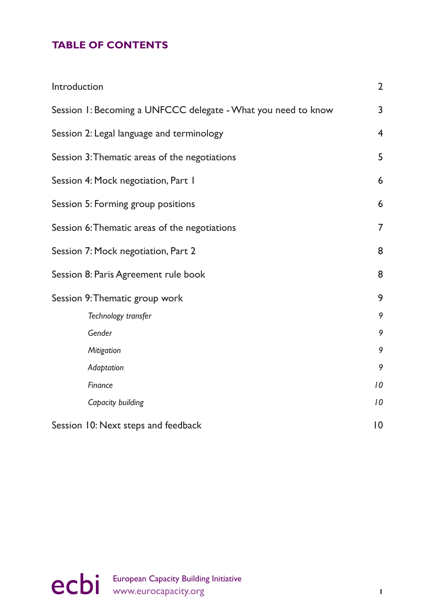### **TABLE OF CONTENTS**

| Introduction                                                  | $\overline{2}$ |
|---------------------------------------------------------------|----------------|
| Session 1: Becoming a UNFCCC delegate - What you need to know | 3              |
| Session 2: Legal language and terminology                     | $\overline{4}$ |
| Session 3: Thematic areas of the negotiations                 | 5              |
| Session 4: Mock negotiation, Part 1                           | 6              |
| Session 5: Forming group positions                            | 6              |
| Session 6: Thematic areas of the negotiations                 | $\overline{7}$ |
| Session 7: Mock negotiation, Part 2                           | 8              |
| Session 8: Paris Agreement rule book                          | 8              |
| Session 9: Thematic group work                                | 9              |
| Technology transfer                                           | 9              |
| Gender                                                        | 9              |
| Mitigation                                                    | 9              |
| Adaptation                                                    | 9              |
| Finance                                                       | 10             |
| Capacity building                                             | 10             |
| Session 10: Next steps and feedback                           | 0              |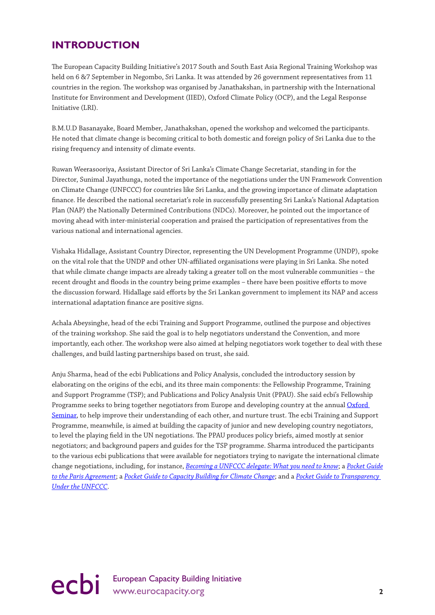### <span id="page-3-0"></span>**INTRODUCTION**

The European Capacity Building Initiative's 2017 South and South East Asia Regional Training Workshop was held on 6 &7 September in Negombo, Sri Lanka. It was attended by 26 government representatives from 11 countries in the region. The workshop was organised by Janathakshan, in partnership with the International Institute for Environment and Development (IIED), Oxford Climate Policy (OCP), and the Legal Response Initiative (LRI).

B.M.U.D Basanayake, Board Member, Janathakshan, opened the workshop and welcomed the participants. He noted that climate change is becoming critical to both domestic and foreign policy of Sri Lanka due to the rising frequency and intensity of climate events.

Ruwan Weerasooriya, Assistant Director of Sri Lanka's Climate Change Secretariat, standing in for the Director, Sunimal Jayathunga, noted the importance of the negotiations under the UN Framework Convention on Climate Change (UNFCCC) for countries like Sri Lanka, and the growing importance of climate adaptation finance. He described the national secretariat's role in successfully presenting Sri Lanka's National Adaptation Plan (NAP) the Nationally Determined Contributions (NDCs). Moreover, he pointed out the importance of moving ahead with inter-ministerial cooperation and praised the participation of representatives from the various national and international agencies.

Vishaka Hidallage, Assistant Country Director, representing the UN Development Programme (UNDP), spoke on the vital role that the UNDP and other UN-affiliated organisations were playing in Sri Lanka. She noted that while climate change impacts are already taking a greater toll on the most vulnerable communities – the recent drought and floods in the country being prime examples – there have been positive efforts to move the discussion forward. Hidallage said efforts by the Sri Lankan government to implement its NAP and access international adaptation finance are positive signs.

Achala Abeysinghe, head of the ecbi Training and Support Programme, outlined the purpose and objectives of the training workshop. She said the goal is to help negotiators understand the Convention, and more importantly, each other. The workshop were also aimed at helping negotiators work together to deal with these challenges, and build lasting partnerships based on trust, she said.

Anju Sharma, head of the ecbi Publications and Policy Analysis, concluded the introductory session by elaborating on the origins of the ecbi, and its three main components: the Fellowship Programme, Training and Support Programme (TSP); and Publications and Policy Analysis Unit (PPAU). She said ecbi's Fellowship Programme seeks to bring together negotiators from Europe and developing country at the annual [Oxford](http://www.eurocapacity.org/public/fellowships.shtml)  [Seminar,](http://www.eurocapacity.org/public/fellowships.shtml) to help improve their understanding of each other, and nurture trust. The ecbi Training and Support Programme, meanwhile, is aimed at building the capacity of junior and new developing country negotiators, to level the playing field in the UN negotiations. The PPAU produces policy briefs, aimed mostly at senior negotiators; and background papers and guides for the TSP programme. Sharma introduced the participants to the various ecbi publications that were available for negotiators trying to navigate the international climate change negotiations, including, for instance, *[Becoming a UNFCCC delegate: What you need to know](http://pubs.iied.org/pdfs/17385IIED.pdf)*; a *[Pocket Guide](http://www.eurocapacity.org/downloads/PocketGuide-Digital.pdf) [to the Paris Agreement](http://www.eurocapacity.org/downloads/PocketGuide-Digital.pdf)*; a *[Pocket Guide to Capacity Building for Climate Change](http://pubs.iied.org/pdfs/G04165.pdf)*; and a *[Pocket Guide to Transparency](http://www.eurocapacity.org/downloads/Pocket_Guide_to_Transparency_UNFCCC.pdf)  [Under the UNFCCC](http://www.eurocapacity.org/downloads/Pocket_Guide_to_Transparency_UNFCCC.pdf)*.

ecbi European Capacity Building Initiative **2**<br> **2**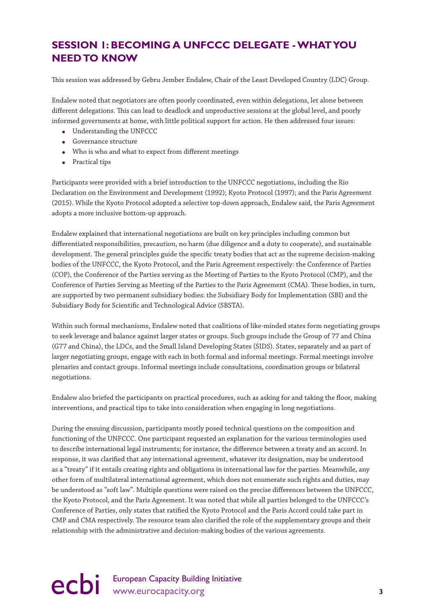### <span id="page-4-0"></span>**SESSION 1: BECOMING A UNFCCC DELEGATE - WHAT YOU NEED TO KNOW**

This session was addressed by Gebru Jember Endalew, Chair of the Least Developed Country (LDC) Group.

Endalew noted that negotiators are often poorly coordinated, even within delegations, let alone between different delegations. This can lead to deadlock and unproductive sessions at the global level, and poorly informed governments at home, with little political support for action. He then addressed four issues:

- Understanding the UNFCCC
- Governance structure
- Who is who and what to expect from different meetings
- Practical tips

Participants were provided with a brief introduction to the UNFCCC negotiations, including the Rio Declaration on the Environment and Development (1992); Kyoto Protocol (1997); and the Paris Agreement (2015). While the Kyoto Protocol adopted a selective top-down approach, Endalew said, the Paris Agreement adopts a more inclusive bottom-up approach.

Endalew explained that international negotiations are built on key principles including common but differentiated responsibilities, precaution, no harm (due diligence and a duty to cooperate), and sustainable development. The general principles guide the specific treaty bodies that act as the supreme decision-making bodies of the UNFCCC, the Kyoto Protocol, and the Paris Agreement respectively: the Conference of Parties (COP), the Conference of the Parties serving as the Meeting of Parties to the Kyoto Protocol (CMP), and the Conference of Parties Serving as Meeting of the Parties to the Paris Agreement (CMA). These bodies, in turn, are supported by two permanent subsidiary bodies: the Subsidiary Body for Implementation (SBI) and the Subsidiary Body for Scientific and Technological Advice (SBSTA).

Within such formal mechanisms, Endalew noted that coalitions of like-minded states form negotiating groups to seek leverage and balance against larger states or groups. Such groups include the Group of 77 and China (G77 and China), the LDCs, and the Small Island Developing States (SIDS). States, separately and as part of larger negotiating groups, engage with each in both formal and informal meetings. Formal meetings involve plenaries and contact groups. Informal meetings include consultations, coordination groups or bilateral negotiations.

Endalew also briefed the participants on practical procedures, such as asking for and taking the floor, making interventions, and practical tips to take into consideration when engaging in long negotiations.

During the ensuing discussion, participants mostly posed technical questions on the composition and functioning of the UNFCCC. One participant requested an explanation for the various terminologies used to describe international legal instruments; for instance, the difference between a treaty and an accord. In response, it was clarified that any international agreement, whatever its designation, may be understood as a "treaty" if it entails creating rights and obligations in international law for the parties. Meanwhile, any other form of multilateral international agreement, which does not enumerate such rights and duties, may be understood as "soft law". Multiple questions were raised on the precise differences between the UNFCCC, the Kyoto Protocol, and the Paris Agreement. It was noted that while all parties belonged to the UNFCCC's Conference of Parties, only states that ratified the Kyoto Protocol and the Paris Accord could take part in CMP and CMA respectively. The resource team also clarified the role of the supplementary groups and their relationship with the administrative and decision-making bodies of the various agreements.

## ecbi European Capacity Building Initiative<br>
3<br>
<sup>3</sup>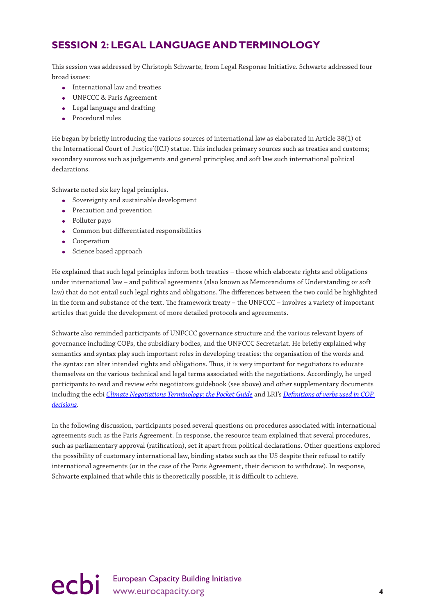### <span id="page-5-0"></span>**SESSION 2: LEGAL LANGUAGE AND TERMINOLOGY**

This session was addressed by Christoph Schwarte, from Legal Response Initiative. Schwarte addressed four broad issues:

- International law and treaties
- UNFCCC & Paris Agreement
- Legal language and drafting
- Procedural rules

He began by briefly introducing the various sources of international law as elaborated in Article 38(1) of the International Court of Justice'(ICJ) statue. This includes primary sources such as treaties and customs; secondary sources such as judgements and general principles; and soft law such international political declarations.

Schwarte noted six key legal principles.

- Sovereignty and sustainable development
- Precaution and prevention
- Polluter pays
- Common but differentiated responsibilities
- **•** Cooperation
- Science based approach

He explained that such legal principles inform both treaties – those which elaborate rights and obligations under international law – and political agreements (also known as Memorandums of Understanding or soft law) that do not entail such legal rights and obligations. The differences between the two could be highlighted in the form and substance of the text. The framework treaty – the UNFCCC – involves a variety of important articles that guide the development of more detailed protocols and agreements.

Schwarte also reminded participants of UNFCCC governance structure and the various relevant layers of governance including COPs, the subsidiary bodies, and the UNFCCC Secretariat. He briefly explained why semantics and syntax play such important roles in developing treaties: the organisation of the words and the syntax can alter intended rights and obligations. Thus, it is very important for negotiators to educate themselves on the various technical and legal terms associated with the negotiations. Accordingly, he urged participants to read and review ecbi negotiators guidebook (see above) and other supplementary documents including the ecbi *[Climate Negotiations Terminology: the Pocket Guide](Climate Negotiations Terminology: the pocket guidebook)* and LRI's *[Definitions of verbs used in COP](http://legalresponseinitiative.org/wp-content/uploads/2013/09/BP30E-Briefing-Paper-Definitions-of-verbs-used-in-COP-Decisions-06-December-2010.pdf)  [decisions](http://legalresponseinitiative.org/wp-content/uploads/2013/09/BP30E-Briefing-Paper-Definitions-of-verbs-used-in-COP-Decisions-06-December-2010.pdf)*.

In the following discussion, participants posed several questions on procedures associated with international agreements such as the Paris Agreement. In response, the resource team explained that several procedures, such as parliamentary approval (ratification), set it apart from political declarations. Other questions explored the possibility of customary international law, binding states such as the US despite their refusal to ratify international agreements (or in the case of the Paris Agreement, their decision to withdraw). In response, Schwarte explained that while this is theoretically possible, it is difficult to achieve.

ecbi European Capacity Building Initiative<br>
4<br> **4**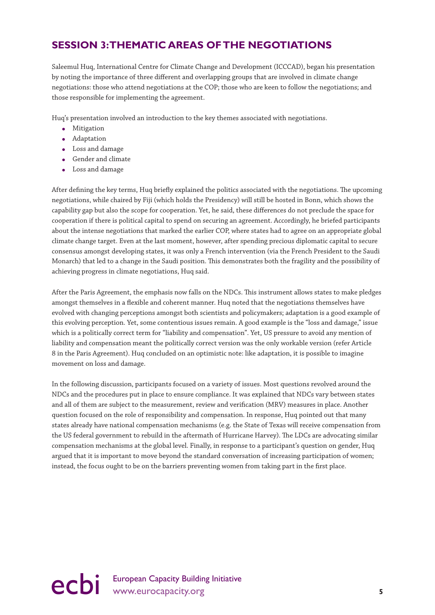### <span id="page-6-0"></span>**SESSION 3: THEMATIC AREAS OF THE NEGOTIATIONS**

Saleemul Huq, International Centre for Climate Change and Development (ICCCAD), began his presentation by noting the importance of three different and overlapping groups that are involved in climate change negotiations: those who attend negotiations at the COP; those who are keen to follow the negotiations; and those responsible for implementing the agreement.

Huq's presentation involved an introduction to the key themes associated with negotiations.

- Mitigation
- Adaptation
- Loss and damage
- Gender and climate
- Loss and damage

After defining the key terms, Huq briefly explained the politics associated with the negotiations. The upcoming negotiations, while chaired by Fiji (which holds the Presidency) will still be hosted in Bonn, which shows the capability gap but also the scope for cooperation. Yet, he said, these differences do not preclude the space for cooperation if there is political capital to spend on securing an agreement. Accordingly, he briefed participants about the intense negotiations that marked the earlier COP, where states had to agree on an appropriate global climate change target. Even at the last moment, however, after spending precious diplomatic capital to secure consensus amongst developing states, it was only a French intervention (via the French President to the Saudi Monarch) that led to a change in the Saudi position. This demonstrates both the fragility and the possibility of achieving progress in climate negotiations, Huq said.

After the Paris Agreement, the emphasis now falls on the NDCs. This instrument allows states to make pledges amongst themselves in a flexible and coherent manner. Huq noted that the negotiations themselves have evolved with changing perceptions amongst both scientists and policymakers; adaptation is a good example of this evolving perception. Yet, some contentious issues remain. A good example is the "loss and damage," issue which is a politically correct term for "liability and compensation". Yet, US pressure to avoid any mention of liability and compensation meant the politically correct version was the only workable version (refer Article 8 in the Paris Agreement). Huq concluded on an optimistic note: like adaptation, it is possible to imagine movement on loss and damage.

In the following discussion, participants focused on a variety of issues. Most questions revolved around the NDCs and the procedures put in place to ensure compliance. It was explained that NDCs vary between states and all of them are subject to the measurement, review and verification (MRV) measures in place. Another question focused on the role of responsibility and compensation. In response, Huq pointed out that many states already have national compensation mechanisms (e.g. the State of Texas will receive compensation from the US federal government to rebuild in the aftermath of Hurricane Harvey). The LDCs are advocating similar compensation mechanisms at the global level. Finally, in response to a participant's question on gender, Huq argued that it is important to move beyond the standard conversation of increasing participation of women; instead, the focus ought to be on the barriers preventing women from taking part in the first place.

## ecbi European Capacity Building Initiative<br>
s<br> **S**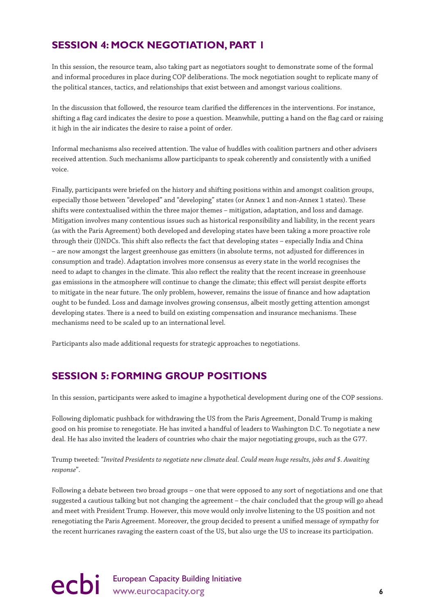### <span id="page-7-0"></span>**SESSION 4: MOCK NEGOTIATION, PART 1**

In this session, the resource team, also taking part as negotiators sought to demonstrate some of the formal and informal procedures in place during COP deliberations. The mock negotiation sought to replicate many of the political stances, tactics, and relationships that exist between and amongst various coalitions.

In the discussion that followed, the resource team clarified the differences in the interventions. For instance, shifting a flag card indicates the desire to pose a question. Meanwhile, putting a hand on the flag card or raising it high in the air indicates the desire to raise a point of order.

Informal mechanisms also received attention. The value of huddles with coalition partners and other advisers received attention. Such mechanisms allow participants to speak coherently and consistently with a unified voice.

Finally, participants were briefed on the history and shifting positions within and amongst coalition groups, especially those between "developed" and "developing" states (or Annex 1 and non-Annex 1 states). These shifts were contextualised within the three major themes – mitigation, adaptation, and loss and damage. Mitigation involves many contentious issues such as historical responsibility and liability, in the recent years (as with the Paris Agreement) both developed and developing states have been taking a more proactive role through their (I)NDCs. This shift also reflects the fact that developing states – especially India and China – are now amongst the largest greenhouse gas emitters (in absolute terms, not adjusted for differences in consumption and trade). Adaptation involves more consensus as every state in the world recognises the need to adapt to changes in the climate. This also reflect the reality that the recent increase in greenhouse gas emissions in the atmosphere will continue to change the climate; this effect will persist despite efforts to mitigate in the near future. The only problem, however, remains the issue of finance and how adaptation ought to be funded. Loss and damage involves growing consensus, albeit mostly getting attention amongst developing states. There is a need to build on existing compensation and insurance mechanisms. These mechanisms need to be scaled up to an international level.

Participants also made additional requests for strategic approaches to negotiations.

### **SESSION 5: FORMING GROUP POSITIONS**

In this session, participants were asked to imagine a hypothetical development during one of the COP sessions.

Following diplomatic pushback for withdrawing the US from the Paris Agreement, Donald Trump is making good on his promise to renegotiate. He has invited a handful of leaders to Washington D.C. To negotiate a new deal. He has also invited the leaders of countries who chair the major negotiating groups, such as the G77.

Trump tweeted: "*Invited Presidents to negotiate new climate deal. Could mean huge results, jobs and \$. Awaiting response*".

Following a debate between two broad groups – one that were opposed to any sort of negotiations and one that suggested a cautious talking but not changing the agreement – the chair concluded that the group will go ahead and meet with President Trump. However, this move would only involve listening to the US position and not renegotiating the Paris Agreement. Moreover, the group decided to present a unified message of sympathy for the recent hurricanes ravaging the eastern coast of the US, but also urge the US to increase its participation.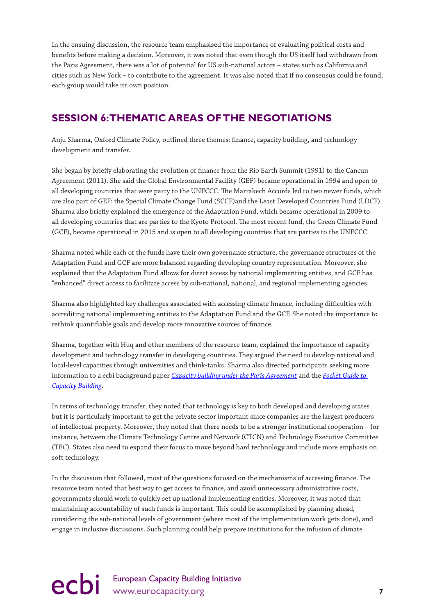<span id="page-8-0"></span>In the ensuing discussion, the resource team emphasised the importance of evaluating political costs and benefits before making a decision. Moreover, it was noted that even though the US itself had withdrawn from the Paris Agreement, there was a lot of potential for US sub-national actors – states such as California and cities such as New York – to contribute to the agreement. It was also noted that if no consensus could be found, each group would take its own position.

### **SESSION 6: THEMATIC AREAS OF THE NEGOTIATIONS**

Anju Sharma, Oxford Climate Policy, outlined three themes: finance, capacity building, and technology development and transfer.

She began by briefly elaborating the evolution of finance from the Rio Earth Summit (1991) to the Cancun Agreement (2011). She said the Global Environmental Facility (GEF) became operational in 1994 and open to all developing countries that were party to the UNFCCC. The Marrakech Accords led to two newer funds, which are also part of GEF: the Special Climate Change Fund (SCCF)and the Least Developed Countries Fund (LDCF). Sharma also briefly explained the emergence of the Adaptation Fund, which became operational in 2009 to all developing countries that are parties to the Kyoto Protocol. The most recent fund, the Green Climate Fund (GCF), became operational in 2015 and is open to all developing countries that are parties to the UNFCCC.

Sharma noted while each of the funds have their own governance structure, the governance structures of the Adaptation Fund and GCF are more balanced regarding developing country representation. Moreover, she explained that the Adaptation Fund allows for direct access by national implementing entities, and GCF has "enhanced" direct access to facilitate access by sub-national, national, and regional implementing agencies.

Sharma also highlighted key challenges associated with accessing climate finance, including difficulties with accrediting national implementing entities to the Adaptation Fund and the GCF. She noted the importance to rethink quantifiable goals and develop more innovative sources of finance.

Sharma, together with Huq and other members of the resource team, explained the importance of capacity development and technology transfer in developing countries. They argued the need to develop national and local-level capacities through universities and think-tanks. Sharma also directed participants seeking more information to a ecbi background paper *[Capacity building under the Paris Agreement](http://www.eurocapacity.org/downloads/Capacity_Building_under_Paris_Agreement_2016.pdf)* and the *[Pocket Guide to](http://pubs.iied.org/pdfs/G04165.pdf)  [Capacity Building](http://pubs.iied.org/pdfs/G04165.pdf)*.

In terms of technology transfer, they noted that technology is key to both developed and developing states but it is particularly important to get the private sector important since companies are the largest producers of intellectual property. Moreover, they noted that there needs to be a stronger institutional cooperation – for instance, between the Climate Technology Centre and Network (CTCN) and Technology Executive Committee (TEC). States also need to expand their focus to move beyond hard technology and include more emphasis on soft technology.

In the discussion that followed, most of the questions focused on the mechanisms of accessing finance. The resource team noted that best way to get access to finance, and avoid unnecessary administrative costs, governments should work to quickly set up national implementing entities. Moreover, it was noted that maintaining accountability of such funds is important. This could be accomplished by planning ahead, considering the sub-national levels of government (where most of the implementation work gets done), and engage in inclusive discussions. Such planning could help prepare institutions for the infusion of climate

### ecbi European Capacity Building Initiative<br> **PCDi** www.eurocapacity.org **7**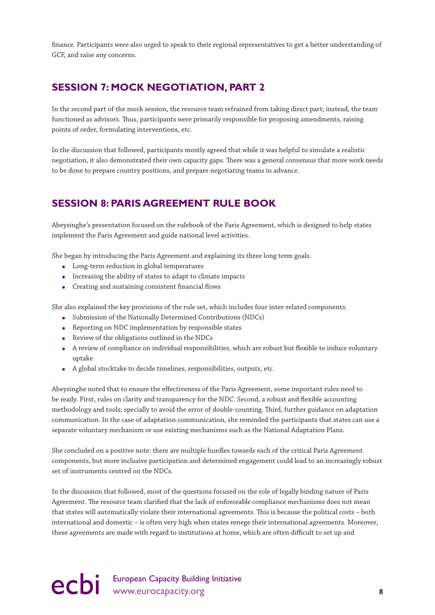<span id="page-9-0"></span>finance. Participants were also urged to speak to their regional representatives to get a better understanding of GCF, and raise any concerns.

### **SESSION 7: MOCK NEGOTIATION, PART 2**

In the second part of the mock session, the resource team refrained from taking direct part; instead, the team functioned as advisors. Thus, participants were primarily responsible for proposing amendments, raising points of order, formulating interventions, etc.

In the discussion that followed, participants mostly agreed that while it was helpful to simulate a realistic negotiation, it also demonstrated their own capacity gaps. There was a general consensus that more work needs to be done to prepare country positions, and prepare negotiating teams in advance.

### **SESSION 8: PARIS AGREEMENT RULE BOOK**

Abeysinghe's presentation focused on the rulebook of the Paris Agreement, which is designed to help states implement the Paris Agreement and guide national level activities.

She began by introducing the Paris Agreement and explaining its three long term goals.

- Long-term reduction in global temperatures
- Increasing the ability of states to adapt to climate impacts
- Creating and sustaining consistent financial flows

She also explained the key provisions of the rule set, which includes four inter-related components.

- Submission of the Nationally Determined Contributions (NDCs)
- Reporting on NDC implementation by responsible states
- Review of the obligations outlined in the NDCs
- A review of compliance on individual responsibilities, which are robust but flexible to induce voluntary uptake
- A global stocktake to decide timelines, responsibilities, outputs, etc.

Abeysinghe noted that to ensure the effectiveness of the Paris Agreement, some important rules need to be ready. First, rules on clarity and transparency for the NDC. Second, a robust and flexible accounting methodology and tools; specially to avoid the error of double-counting. Third, further guidance on adaptation communication. In the case of adaptation communication, she reminded the participants that states can use a separate voluntary mechanism or use existing mechanisms such as the National Adaptation Plans.

She concluded on a positive note: there are multiple hurdles towards each of the critical Paris Agreement components, but more inclusive participation and determined engagement could lead to an increasingly robust set of instruments centred on the NDCs.

In the discussion that followed, most of the questions focused on the role of legally binding nature of Paris Agreement. The resource team clarified that the lack of enforceable compliance mechanisms does not mean that states will automatically violate their international agreements. This is because the political costs – both international and domestic – is often very high when states renege their international agreements. Moreover, these agreements are made with regard to institutions at home, which are often difficult to set up and

### ecbi European Capacity Building Initiative<br>
8<sup>8</sup>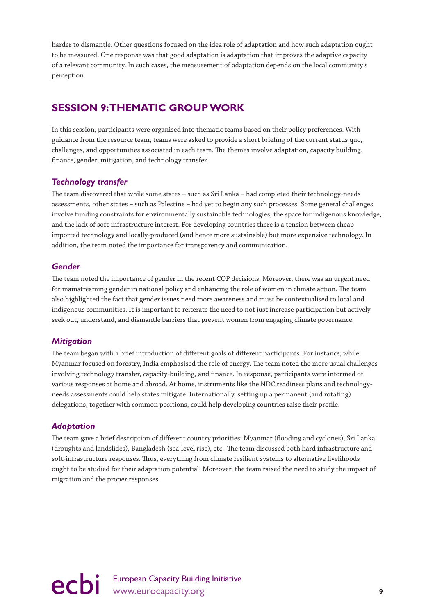<span id="page-10-0"></span>harder to dismantle. Other questions focused on the idea role of adaptation and how such adaptation ought to be measured. One response was that good adaptation is adaptation that improves the adaptive capacity of a relevant community. In such cases, the measurement of adaptation depends on the local community's perception.

### **SESSION 9: THEMATIC GROUP WORK**

In this session, participants were organised into thematic teams based on their policy preferences. With guidance from the resource team, teams were asked to provide a short briefing of the current status quo, challenges, and opportunities associated in each team. The themes involve adaptation, capacity building, finance, gender, mitigation, and technology transfer.

### *Technology transfer*

The team discovered that while some states – such as Sri Lanka – had completed their technology-needs assessments, other states – such as Palestine – had yet to begin any such processes. Some general challenges involve funding constraints for environmentally sustainable technologies, the space for indigenous knowledge, and the lack of soft-infrastructure interest. For developing countries there is a tension between cheap imported technology and locally-produced (and hence more sustainable) but more expensive technology. In addition, the team noted the importance for transparency and communication.

### *Gender*

The team noted the importance of gender in the recent COP decisions. Moreover, there was an urgent need for mainstreaming gender in national policy and enhancing the role of women in climate action. The team also highlighted the fact that gender issues need more awareness and must be contextualised to local and indigenous communities. It is important to reiterate the need to not just increase participation but actively seek out, understand, and dismantle barriers that prevent women from engaging climate governance.

### *Mitigation*

The team began with a brief introduction of different goals of different participants. For instance, while Myanmar focused on forestry, India emphasised the role of energy. The team noted the more usual challenges involving technology transfer, capacity-building, and finance. In response, participants were informed of various responses at home and abroad. At home, instruments like the NDC readiness plans and technologyneeds assessments could help states mitigate. Internationally, setting up a permanent (and rotating) delegations, together with common positions, could help developing countries raise their profile.

### *Adaptation*

The team gave a brief description of different country priorities: Myanmar (flooding and cyclones), Sri Lanka (droughts and landslides), Bangladesh (sea-level rise), etc. The team discussed both hard infrastructure and soft-infrastructure responses. Thus, everything from climate resilient systems to alternative livelihoods ought to be studied for their adaptation potential. Moreover, the team raised the need to study the impact of migration and the proper responses.